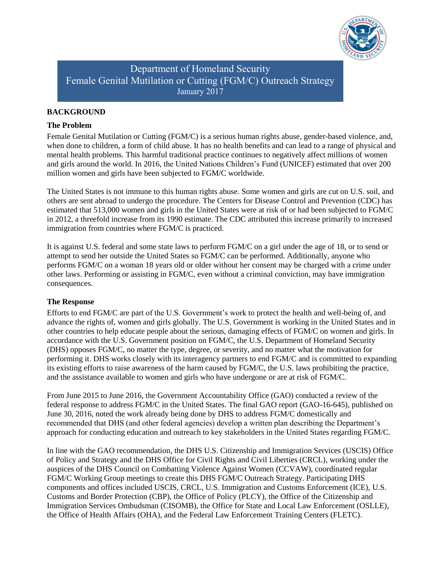

Department of Homeland Security Female Genital Mutilation or Cutting (FGM/C) Outreach Strategy January 2017

### **BACKGROUND**

#### **The Problem**

Female Genital Mutilation or Cutting (FGM/C) is a serious human rights abuse, gender-based violence, and, when done to children, a form of child abuse. It has no health benefits and can lead to a range of physical and mental health problems. This harmful traditional practice continues to negatively affect millions of women and girls around the world. In 2016, the United Nations Children's Fund (UNICEF) estimated that over 200 million women and girls have been subjected to FGM/C worldwide.

The United States is not immune to this human rights abuse. Some women and girls are cut on U.S. soil, and others are sent abroad to undergo the procedure. The Centers for Disease Control and Prevention (CDC) has estimated that 513,000 women and girls in the United States were at risk of or had been subjected to FGM/C in 2012, a threefold increase from its 1990 estimate. The CDC attributed this increase primarily to increased immigration from countries where FGM/C is practiced.

It is against U.S. federal and some state laws to perform FGM/C on a girl under the age of 18, or to send or attempt to send her outside the United States so FGM/C can be performed. Additionally, anyone who performs FGM/C on a woman 18 years old or older without her consent may be charged with a crime under other laws. Performing or assisting in FGM/C, even without a criminal conviction, may have immigration consequences.

#### **The Response**

Efforts to end FGM/C are part of the U.S. Government's work to protect the health and well-being of, and advance the rights of, women and girls globally. The U.S. Government is working in the United States and in other countries to help educate people about the serious, damaging effects of FGM/C on women and girls. In accordance with the U.S. Government position on FGM/C, the U.S. Department of Homeland Security (DHS) opposes FGM/C, no matter the type, degree, or severity, and no matter what the motivation for performing it. DHS works closely with its interagency partners to end FGM/C and is committed to expanding its existing efforts to raise awareness of the harm caused by FGM/C, the U.S. laws prohibiting the practice, and the assistance available to women and girls who have undergone or are at risk of FGM/C.

From June 2015 to June 2016, the Government Accountability Office (GAO) conducted a review of the federal response to address FGM/C in the United States. The final GAO report (GAO-16-645), published on June 30, 2016, noted the work already being done by DHS to address FGM/C domestically and recommended that DHS (and other federal agencies) develop a written plan describing the Department's approach for conducting education and outreach to key stakeholders in the United States regarding FGM/C.

In line with the GAO recommendation, the DHS U.S. Citizenship and Immigration Services (USCIS) Office of Policy and Strategy and the DHS Office for Civil Rights and Civil Liberties (CRCL), working under the auspices of the DHS Council on Combatting Violence Against Women (CCVAW), coordinated regular FGM/C Working Group meetings to create this DHS FGM/C Outreach Strategy. Participating DHS components and offices included USCIS, CRCL, U.S. Immigration and Customs Enforcement (ICE), U.S. Customs and Border Protection (CBP), the Office of Policy (PLCY), the Office of the Citizenship and Immigration Services Ombudsman (CISOMB), the Office for State and Local Law Enforcement (OSLLE), the Office of Health Affairs (OHA), and the Federal Law Enforcement Training Centers (FLETC).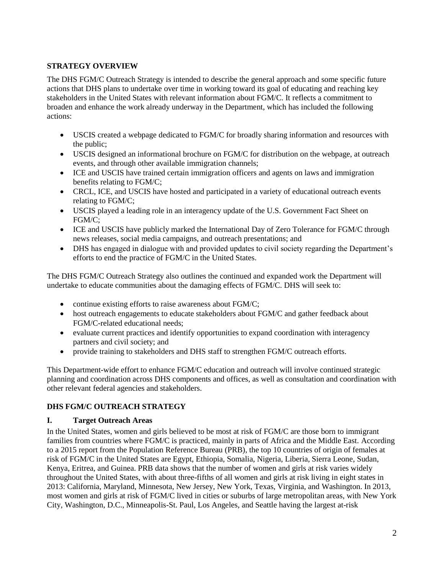## **STRATEGY OVERVIEW**

The DHS FGM/C Outreach Strategy is intended to describe the general approach and some specific future actions that DHS plans to undertake over time in working toward its goal of educating and reaching key stakeholders in the United States with relevant information about FGM/C. It reflects a commitment to broaden and enhance the work already underway in the Department, which has included the following actions:

- USCIS created a webpage dedicated to FGM/C for broadly sharing information and resources with the public;
- USCIS designed an informational brochure on FGM/C for distribution on the webpage, at outreach events, and through other available immigration channels;
- ICE and USCIS have trained certain immigration officers and agents on laws and immigration benefits relating to FGM/C;
- CRCL, ICE, and USCIS have hosted and participated in a variety of educational outreach events relating to FGM/C;
- USCIS played a leading role in an interagency update of the U.S. Government Fact Sheet on FGM/C;
- ICE and USCIS have publicly marked the International Day of Zero Tolerance for FGM/C through news releases, social media campaigns, and outreach presentations; and
- DHS has engaged in dialogue with and provided updates to civil society regarding the Department's efforts to end the practice of FGM/C in the United States.

The DHS FGM/C Outreach Strategy also outlines the continued and expanded work the Department will undertake to educate communities about the damaging effects of FGM/C. DHS will seek to:

- continue existing efforts to raise awareness about FGM/C;
- host outreach engagements to educate stakeholders about FGM/C and gather feedback about FGM/C-related educational needs;
- evaluate current practices and identify opportunities to expand coordination with interagency partners and civil society; and
- provide training to stakeholders and DHS staff to strengthen FGM/C outreach efforts.

This Department-wide effort to enhance FGM/C education and outreach will involve continued strategic planning and coordination across DHS components and offices, as well as consultation and coordination with other relevant federal agencies and stakeholders.

# **DHS FGM/C OUTREACH STRATEGY**

### **I. Target Outreach Areas**

In the United States, women and girls believed to be most at risk of FGM/C are those born to immigrant families from countries where FGM/C is practiced, mainly in parts of Africa and the Middle East. According to a 2015 report from the Population Reference Bureau (PRB), the top 10 countries of origin of females at risk of FGM/C in the United States are Egypt, Ethiopia, Somalia, Nigeria, Liberia, Sierra Leone, Sudan, Kenya, Eritrea, and Guinea. PRB data shows that the number of women and girls at risk varies widely throughout the United States, with about three-fifths of all women and girls at risk living in eight states in 2013: California, Maryland, Minnesota, New Jersey, New York, Texas, Virginia, and Washington. In 2013, most women and girls at risk of FGM/C lived in cities or suburbs of large metropolitan areas, with New York City, Washington, D.C., Minneapolis-St. Paul, Los Angeles, and Seattle having the largest at-risk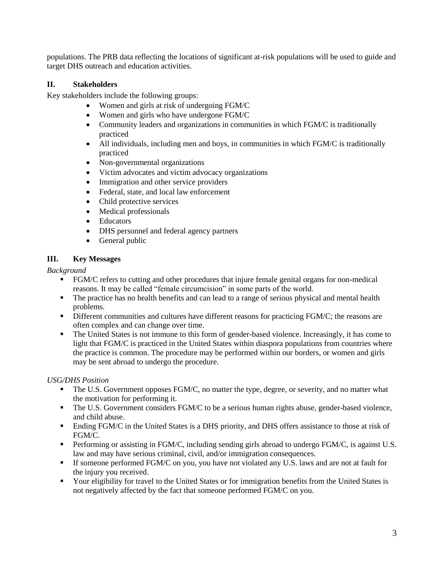populations. The PRB data reflecting the locations of significant at-risk populations will be used to guide and target DHS outreach and education activities.

## **II. Stakeholders**

Key stakeholders include the following groups:

- Women and girls at risk of undergoing FGM/C
- Women and girls who have undergone FGM/C
- Community leaders and organizations in communities in which FGM/C is traditionally practiced
- All individuals, including men and boys, in communities in which FGM/C is traditionally practiced
- Non-governmental organizations
- Victim advocates and victim advocacy organizations
- Immigration and other service providers
- Federal, state, and local law enforcement
- Child protective services
- Medical professionals
- Educators
- DHS personnel and federal agency partners
- General public

## **III. Key Messages**

*Background*

- FGM/C refers to cutting and other procedures that injure female genital organs for non-medical reasons. It may be called "female circumcision" in some parts of the world.
- The practice has no health benefits and can lead to a range of serious physical and mental health problems.
- Different communities and cultures have different reasons for practicing FGM/C; the reasons are often complex and can change over time.
- The United States is not immune to this form of gender-based violence. Increasingly, it has come to light that FGM/C is practiced in the United States within diaspora populations from countries where the practice is common. The procedure may be performed within our borders, or women and girls may be sent abroad to undergo the procedure.

# *USG/DHS Position*

- The U.S. Government opposes FGM/C, no matter the type, degree, or severity, and no matter what the motivation for performing it.
- The U.S. Government considers FGM/C to be a serious human rights abuse, gender-based violence, and child abuse.
- **Ending FGM/C in the United States is a DHS priority, and DHS offers assistance to those at risk of** FGM/C.
- Performing or assisting in FGM/C, including sending girls abroad to undergo FGM/C, is against U.S. law and may have serious criminal, civil, and/or immigration consequences.
- If someone performed FGM/C on you, you have not violated any U.S. laws and are not at fault for the injury you received.
- Your eligibility for travel to the United States or for immigration benefits from the United States is not negatively affected by the fact that someone performed FGM/C on you.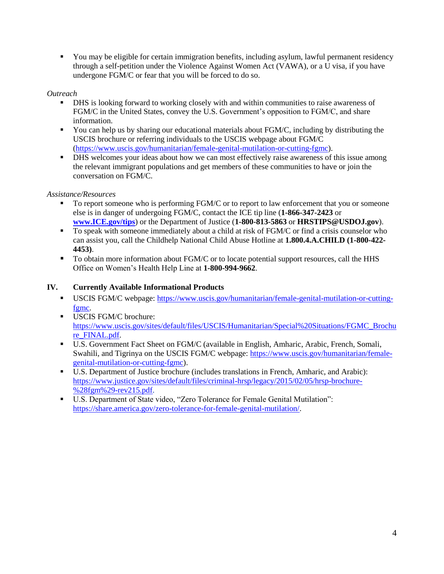You may be eligible for certain immigration benefits, including asylum, lawful permanent residency through a self-petition under the Violence Against Women Act (VAWA), or a U visa, if you have undergone FGM/C or fear that you will be forced to do so.

### *Outreach*

- DHS is looking forward to working closely with and within communities to raise awareness of FGM/C in the United States, convey the U.S. Government's opposition to FGM/C, and share information.
- You can help us by sharing our educational materials about FGM/C, including by distributing the USCIS brochure or referring individuals to the USCIS webpage about FGM/C [\(https://www.uscis.gov/humanitarian/female-genital-mutilation-or-cutting-fgmc\)](https://www.uscis.gov/humanitarian/female-genital-mutilation-or-cutting-fgmc).
- DHS welcomes your ideas about how we can most effectively raise awareness of this issue among the relevant immigrant populations and get members of these communities to have or join the conversation on FGM/C.

## *Assistance/Resources*

- To report someone who is performing FGM/C or to report to law enforcement that you or someone else is in danger of undergoing FGM/C, contact the ICE tip line (**1-866-347-2423** or **[www.ICE.gov/tips](http://www.ice.gov/tips)**) or the Department of Justice (**1-800-813-5863** or **HRSTIPS@USDOJ.gov**).
- To speak with someone immediately about a child at risk of FGM/C or find a crisis counselor who can assist you, call the Childhelp National Child Abuse Hotline at **1.800.4.A.CHILD (1-800-422- 4453)**.
- To obtain more information about FGM/C or to locate potential support resources, call the HHS Office on Women's Health Help Line at **1-800-994-9662**.

# **IV. Currently Available Informational Products**

- USCIS FGM/C webpage: [https://www.uscis.gov/humanitarian/female-genital-mutilation-or-cutting](https://www.uscis.gov/humanitarian/female-genital-mutilation-or-cutting-fgmc)[fgmc.](https://www.uscis.gov/humanitarian/female-genital-mutilation-or-cutting-fgmc)
- USCIS FGM/C brochure: [https://www.uscis.gov/sites/default/files/USCIS/Humanitarian/Special%20Situations/FGMC\\_Brochu](https://www.uscis.gov/sites/default/files/USCIS/Humanitarian/Special%20Situations/FGMC_Brochure_FINAL.pdf) [re\\_FINAL.pdf.](https://www.uscis.gov/sites/default/files/USCIS/Humanitarian/Special%20Situations/FGMC_Brochure_FINAL.pdf)
- U.S. Government Fact Sheet on FGM/C (available in English, Amharic, Arabic, French, Somali, Swahili, and Tigrinya on the USCIS FGM/C webpage: [https://www.uscis.gov/humanitarian/female](https://www.uscis.gov/humanitarian/female-genital-mutilation-or-cutting-fgmc)[genital-mutilation-or-cutting-fgmc\)](https://www.uscis.gov/humanitarian/female-genital-mutilation-or-cutting-fgmc).
- U.S. Department of Justice brochure (includes translations in French, Amharic, and Arabic): [https://www.justice.gov/sites/default/files/criminal-hrsp/legacy/2015/02/05/hrsp-brochure-](https://www.justice.gov/sites/default/files/criminal-hrsp/legacy/2015/02/05/hrsp-brochure-%28fgm%29-rev215.pdf) [%28fgm%29-rev215.pdf.](https://www.justice.gov/sites/default/files/criminal-hrsp/legacy/2015/02/05/hrsp-brochure-%28fgm%29-rev215.pdf)
- U.S. Department of State video, "Zero Tolerance for Female Genital Mutilation": [https://share.america.gov/zero-tolerance-for-female-genital-mutilation/.](https://share.america.gov/zero-tolerance-for-female-genital-mutilation/)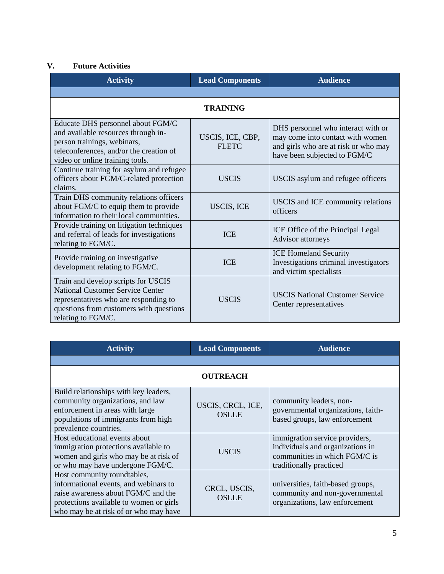## **V. Future Activities**

| <b>Activity</b>                                                                                                                                                                          | <b>Lead Components</b>           | <b>Audience</b>                                                                                                                                |
|------------------------------------------------------------------------------------------------------------------------------------------------------------------------------------------|----------------------------------|------------------------------------------------------------------------------------------------------------------------------------------------|
|                                                                                                                                                                                          |                                  |                                                                                                                                                |
|                                                                                                                                                                                          | <b>TRAINING</b>                  |                                                                                                                                                |
| Educate DHS personnel about FGM/C<br>and available resources through in-<br>person trainings, webinars,<br>teleconferences, and/or the creation of<br>video or online training tools.    | USCIS, ICE, CBP,<br><b>FLETC</b> | DHS personnel who interact with or<br>may come into contact with women<br>and girls who are at risk or who may<br>have been subjected to FGM/C |
| Continue training for asylum and refugee<br>officers about FGM/C-related protection<br>claims.                                                                                           | <b>USCIS</b>                     | USCIS asylum and refugee officers                                                                                                              |
| Train DHS community relations officers<br>about FGM/C to equip them to provide<br>information to their local communities.                                                                | <b>USCIS, ICE</b>                | USCIS and ICE community relations<br>officers                                                                                                  |
| Provide training on litigation techniques<br>and referral of leads for investigations<br>relating to FGM/C.                                                                              | <b>ICE</b>                       | ICE Office of the Principal Legal<br>Advisor attorneys                                                                                         |
| Provide training on investigative<br>development relating to FGM/C.                                                                                                                      | <b>ICE</b>                       | <b>ICE Homeland Security</b><br>Investigations criminal investigators<br>and victim specialists                                                |
| Train and develop scripts for USCIS<br><b>National Customer Service Center</b><br>representatives who are responding to<br>questions from customers with questions<br>relating to FGM/C. | <b>USCIS</b>                     | <b>USCIS National Customer Service</b><br>Center representatives                                                                               |

| <b>Activity</b>                                                                                                                                                                                 | <b>Lead Components</b>            | <b>Audience</b>                                                                                                                |  |
|-------------------------------------------------------------------------------------------------------------------------------------------------------------------------------------------------|-----------------------------------|--------------------------------------------------------------------------------------------------------------------------------|--|
|                                                                                                                                                                                                 |                                   |                                                                                                                                |  |
| <b>OUTREACH</b>                                                                                                                                                                                 |                                   |                                                                                                                                |  |
| Build relationships with key leaders,<br>community organizations, and law<br>enforcement in areas with large<br>populations of immigrants from high<br>prevalence countries.                    | USCIS, CRCL, ICE,<br><b>OSLLE</b> | community leaders, non-<br>governmental organizations, faith-<br>based groups, law enforcement                                 |  |
| Host educational events about<br>immigration protections available to<br>women and girls who may be at risk of<br>or who may have undergone FGM/C.                                              | USCIS                             | immigration service providers,<br>individuals and organizations in<br>communities in which FGM/C is<br>traditionally practiced |  |
| Host community roundtables,<br>informational events, and webinars to<br>raise awareness about FGM/C and the<br>protections available to women or girls<br>who may be at risk of or who may have | CRCL, USCIS,<br><b>OSLLE</b>      | universities, faith-based groups,<br>community and non-governmental<br>organizations, law enforcement                          |  |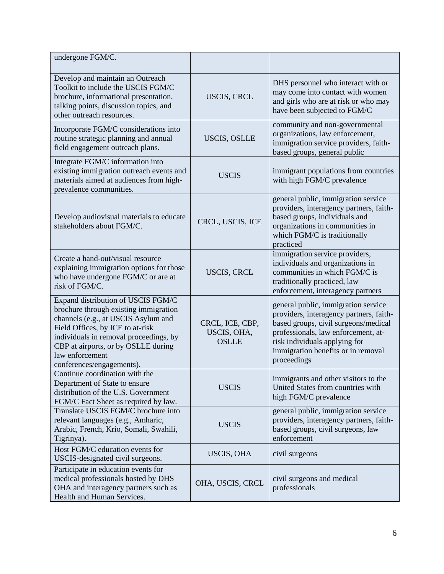| undergone FGM/C.                                                                                                                                                                                                                                                                        |                                                |                                                                                                                                                                                                                                                     |
|-----------------------------------------------------------------------------------------------------------------------------------------------------------------------------------------------------------------------------------------------------------------------------------------|------------------------------------------------|-----------------------------------------------------------------------------------------------------------------------------------------------------------------------------------------------------------------------------------------------------|
| Develop and maintain an Outreach<br>Toolkit to include the USCIS FGM/C<br>brochure, informational presentation,<br>talking points, discussion topics, and<br>other outreach resources.                                                                                                  | <b>USCIS, CRCL</b>                             | DHS personnel who interact with or<br>may come into contact with women<br>and girls who are at risk or who may<br>have been subjected to FGM/C                                                                                                      |
| Incorporate FGM/C considerations into<br>routine strategic planning and annual<br>field engagement outreach plans.                                                                                                                                                                      | <b>USCIS, OSLLE</b>                            | community and non-governmental<br>organizations, law enforcement,<br>immigration service providers, faith-<br>based groups, general public                                                                                                          |
| Integrate FGM/C information into<br>existing immigration outreach events and<br>materials aimed at audiences from high-<br>prevalence communities.                                                                                                                                      | <b>USCIS</b>                                   | immigrant populations from countries<br>with high FGM/C prevalence                                                                                                                                                                                  |
| Develop audiovisual materials to educate<br>stakeholders about FGM/C.                                                                                                                                                                                                                   | CRCL, USCIS, ICE                               | general public, immigration service<br>providers, interagency partners, faith-<br>based groups, individuals and<br>organizations in communities in<br>which FGM/C is traditionally<br>practiced                                                     |
| Create a hand-out/visual resource<br>explaining immigration options for those<br>who have undergone FGM/C or are at<br>risk of FGM/C.                                                                                                                                                   | USCIS, CRCL                                    | immigration service providers,<br>individuals and organizations in<br>communities in which FGM/C is<br>traditionally practiced, law<br>enforcement, interagency partners                                                                            |
| Expand distribution of USCIS FGM/C<br>brochure through existing immigration<br>channels (e.g., at USCIS Asylum and<br>Field Offices, by ICE to at-risk<br>individuals in removal proceedings, by<br>CBP at airports, or by OSLLE during<br>law enforcement<br>conferences/engagements). | CRCL, ICE, CBP,<br>USCIS, OHA,<br><b>OSLLE</b> | general public, immigration service<br>providers, interagency partners, faith-<br>based groups, civil surgeons/medical<br>professionals, law enforcement, at-<br>risk individuals applying for<br>immigration benefits or in removal<br>proceedings |
| Continue coordination with the<br>Department of State to ensure<br>distribution of the U.S. Government<br>FGM/C Fact Sheet as required by law.                                                                                                                                          | <b>USCIS</b>                                   | immigrants and other visitors to the<br>United States from countries with<br>high FGM/C prevalence                                                                                                                                                  |
| Translate USCIS FGM/C brochure into<br>relevant languages (e.g., Amharic,<br>Arabic, French, Krio, Somali, Swahili,<br>Tigrinya).                                                                                                                                                       | <b>USCIS</b>                                   | general public, immigration service<br>providers, interagency partners, faith-<br>based groups, civil surgeons, law<br>enforcement                                                                                                                  |
| Host FGM/C education events for<br>USCIS-designated civil surgeons.                                                                                                                                                                                                                     | <b>USCIS, OHA</b>                              | civil surgeons                                                                                                                                                                                                                                      |
| Participate in education events for<br>medical professionals hosted by DHS<br>OHA and interagency partners such as<br>Health and Human Services.                                                                                                                                        | OHA, USCIS, CRCL                               | civil surgeons and medical<br>professionals                                                                                                                                                                                                         |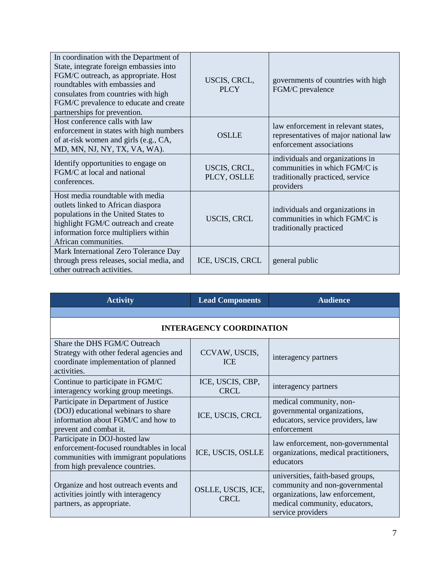| In coordination with the Department of<br>State, integrate foreign embassies into<br>FGM/C outreach, as appropriate. Host<br>roundtables with embassies and<br>consulates from countries with high<br>FGM/C prevalence to educate and create<br>partnerships for prevention. | USCIS, CRCL,<br>PLCY        | governments of countries with high<br>FGM/C prevalence                                                             |
|------------------------------------------------------------------------------------------------------------------------------------------------------------------------------------------------------------------------------------------------------------------------------|-----------------------------|--------------------------------------------------------------------------------------------------------------------|
| Host conference calls with law<br>enforcement in states with high numbers<br>of at-risk women and girls (e.g., CA,<br>MD, MN, NJ, NY, TX, VA, WA).                                                                                                                           | <b>OSLLE</b>                | law enforcement in relevant states,<br>representatives of major national law<br>enforcement associations           |
| Identify opportunities to engage on<br>FGM/C at local and national<br>conferences.                                                                                                                                                                                           | USCIS, CRCL,<br>PLCY, OSLLE | individuals and organizations in<br>communities in which FGM/C is<br>traditionally practiced, service<br>providers |
| Host media roundtable with media<br>outlets linked to African diaspora<br>populations in the United States to<br>highlight FGM/C outreach and create<br>information force multipliers within<br>African communities.                                                         | <b>USCIS, CRCL</b>          | individuals and organizations in<br>communities in which FGM/C is<br>traditionally practiced                       |
| Mark International Zero Tolerance Day<br>through press releases, social media, and<br>other outreach activities.                                                                                                                                                             | ICE, USCIS, CRCL            | general public                                                                                                     |

| <b>Activity</b>                                                                                                                                        | <b>Lead Components</b>            | <b>Audience</b>                                                                                                                                              |  |
|--------------------------------------------------------------------------------------------------------------------------------------------------------|-----------------------------------|--------------------------------------------------------------------------------------------------------------------------------------------------------------|--|
|                                                                                                                                                        |                                   |                                                                                                                                                              |  |
| <b>INTERAGENCY COORDINATION</b>                                                                                                                        |                                   |                                                                                                                                                              |  |
| Share the DHS FGM/C Outreach<br>Strategy with other federal agencies and<br>coordinate implementation of planned<br>activities.                        | CCVAW, USCIS,<br><b>ICE</b>       | interagency partners                                                                                                                                         |  |
| Continue to participate in FGM/C<br>interagency working group meetings.                                                                                | ICE, USCIS, CBP,<br>CRCL          | interagency partners                                                                                                                                         |  |
| Participate in Department of Justice<br>(DOJ) educational webinars to share<br>information about FGM/C and how to<br>prevent and combat it.            | ICE, USCIS, CRCL                  | medical community, non-<br>governmental organizations,<br>educators, service providers, law<br>enforcement                                                   |  |
| Participate in DOJ-hosted law<br>enforcement-focused roundtables in local<br>communities with immigrant populations<br>from high prevalence countries. | ICE, USCIS, OSLLE                 | law enforcement, non-governmental<br>organizations, medical practitioners,<br>educators                                                                      |  |
| Organize and host outreach events and<br>activities jointly with interagency<br>partners, as appropriate.                                              | OSLLE, USCIS, ICE,<br><b>CRCI</b> | universities, faith-based groups,<br>community and non-governmental<br>organizations, law enforcement,<br>medical community, educators,<br>service providers |  |